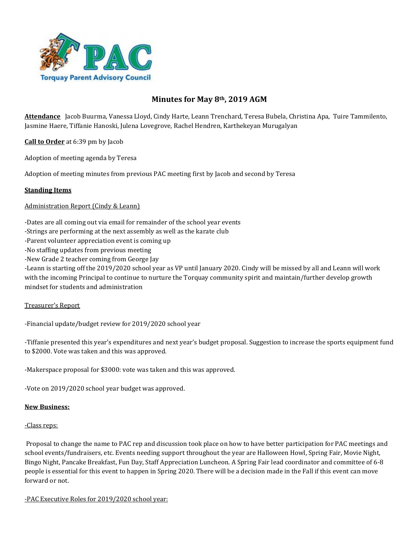

# **Minutes for May 8th, 2019 AGM**

**Attendance** Jacob Buurma, Vanessa Lloyd, Cindy Harte, Leann Trenchard, Teresa Bubela, Christina Apa, Tuire Tammilento, Jasmine Haere, Tiffanie Hanoski, Julena Lovegrove, Rachel Hendren, Karthekeyan Murugalyan

**Call to Order** at 6:39 pm by Jacob

Adoption of meeting agenda by Teresa

Adoption of meeting minutes from previous PAC meeting first by Jacob and second by Teresa

### **Standing Items**

#### Administration Report (Cindy & Leann)

-Dates are all coming out via email for remainder of the school year events

-Strings are performing at the next assembly as well as the karate club

-Parent volunteer appreciation event is coming up

-No staffing updates from previous meeting

-New Grade 2 teacher coming from George Jay

-Leann is starting off the 2019/2020 school year as VP until January 2020. Cindy will be missed by all and Leann will work with the incoming Principal to continue to nurture the Torquay community spirit and maintain/further develop growth mindset for students and administration

#### Treasurer's Report

-Financial update/budget review for 2019/2020 school year

-Tiffanie presented this year's expenditures and next year's budget proposal. Suggestion to increase the sports equipment fund to \$2000. Vote was taken and this was approved.

-Makerspace proposal for \$3000: vote was taken and this was approved.

-Vote on 2019/2020 school year budget was approved.

#### **New Business:**

#### -Class reps:

Proposal to change the name to PAC rep and discussion took place on how to have better participation for PAC meetings and school events/fundraisers, etc. Events needing support throughout the year are Halloween Howl, Spring Fair, Movie Night, Bingo Night, Pancake Breakfast, Fun Day, Staff Appreciation Luncheon. A Spring Fair lead coordinator and committee of 6-8 people is essential for this event to happen in Spring 2020. There will be a decision made in the Fall if this event can move forward or not.

-PAC Executive Roles for 2019/2020 school year: